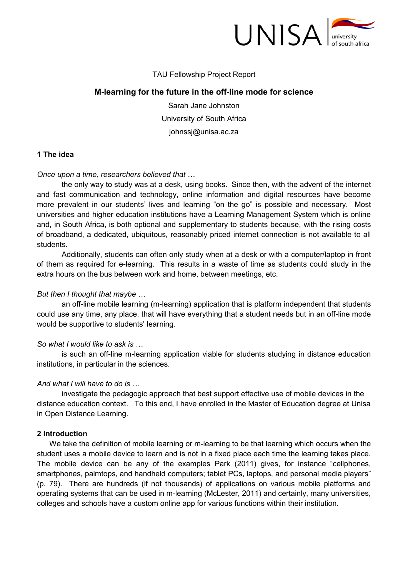

## TAU Fellowship Project Report

# **M-learning for the future in the off-line mode for science**

Sarah Jane Johnston University of South Africa johnssj@unisa.ac.za

### **1 The idea**

### *Once upon a time, researchers believed that*

the only way to study was at a desk, using books. Since then, with the advent of the internet and fast communication and technology, online information and digital resources have become more prevalent in our students' lives and learning "on the go" is possible and necessary. Most universities and higher education institutions have a Learning Management System which is online and, in South Africa, is both optional and supplementary to students because, with the rising costs of broadband, a dedicated, ubiquitous, reasonably priced internet connection is not available to all students.

Additionally, students can often only study when at a desk or with a computer/laptop in front of them as required for e-learning. This results in a waste of time as students could study in the extra hours on the bus between work and home, between meetings, etc.

### *But then I thought that maybe*

an off-line mobile learning (m-learning) application that is platform independent that students could use any time, any place, that will have everything that a student needs but in an off-line mode would be supportive to students' learning.

## *So what I would like to ask is*

 is such an off-line m-learning application viable for students studying in distance education institutions, in particular in the sciences.

### *And what I will have to do is*

 investigate the pedagogic approach that best support effective use of mobile devices in the distance education context. To this end, I have enrolled in the Master of Education degree at Unisa in Open Distance Learning.

### **2 Introduction**

We take the definition of mobile learning or m-learning to be that learning which occurs when the student uses a mobile device to learn and is not in a fixed place each time the learning takes place. The mobile device can be any of the examples Park (2011) gives, for instance "cellphones, smartphones, palmtops, and handheld computers; tablet PCs, laptops, and personal media players" (p. 79). There are hundreds (if not thousands) of applications on various mobile platforms and operating systems that can be used in m-learning (McLester, 2011) and certainly, many universities, colleges and schools have a custom online app for various functions within their institution.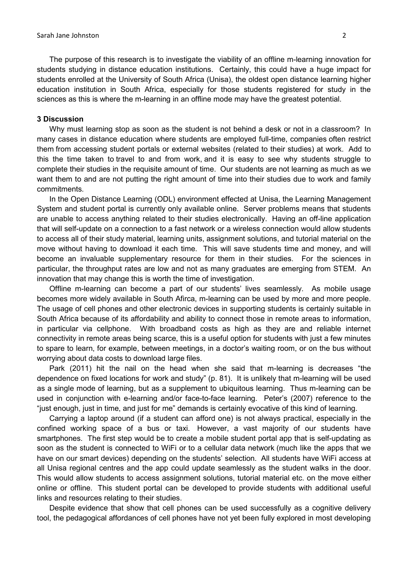The purpose of this research is to investigate the viability of an offline m-learning innovation for students studying in distance education institutions. Certainly, this could have a huge impact for students enrolled at the University of South Africa (Unisa), the oldest open distance learning higher education institution in South Africa, especially for those students registered for study in the sciences as this is where the m-learning in an offline mode may have the greatest potential.

#### **3 Discussion**

Why must learning stop as soon as the student is not behind a desk or not in a classroom? In many cases in distance education where students are employed full-time, companies often restrict them from accessing student portals or external websites (related to their studies) at work. Add to this the time taken to travel to and from work, and it is easy to see why students struggle to complete their studies in the requisite amount of time. Our students are not learning as much as we want them to and are not putting the right amount of time into their studies due to work and family commitments.

In the Open Distance Learning (ODL) environment effected at Unisa, the Learning Management System and student portal is currently only available online. Server problems means that students are unable to access anything related to their studies electronically. Having an off-line application that will self-update on a connection to a fast network or a wireless connection would allow students to access all of their study material, learning units, assignment solutions, and tutorial material on the move without having to download it each time. This will save students time and money, and will become an invaluable supplementary resource for them in their studies. For the sciences in particular, the throughput rates are low and not as many graduates are emerging from STEM. An innovation that may change this is worth the time of investigation.

Offline m-learning can become a part of our students' lives seamlessly. As mobile usage becomes more widely available in South Afirca, m-learning can be used by more and more people. The usage of cell phones and other electronic devices in supporting students is certainly suitable in South Africa because of its affordability and ability to connect those in remote areas to information, in particular via cellphone. With broadband costs as high as they are and reliable internet connectivity in remote areas being scarce, this is a useful option for students with just a few minutes to spare to learn, for example, between meetings, in a doctor's waiting room, or on the bus without worrying about data costs to download large files.

Park (2011) hit the nail on the head when she said that m-learning is decreases "the dependence on fixed locations for work and study" (p. 81). It is unlikely that m-learning will be used as a single mode of learning, but as a supplement to ubiquitous learning. Thus m-learning can be used in conjunction with e-learning and/or face-to-face learning. Peter's (2007) reference to the "just enough, just in time, and just for me" demands is certainly evocative of this kind of learning.

Carrying a laptop around (if a student can afford one) is not always practical, especially in the confined working space of a bus or taxi. However, a vast majority of our students have smartphones. The first step would be to create a mobile student portal app that is self-updating as soon as the student is connected to WiFi or to a cellular data network (much like the apps that we have on our smart devices) depending on the students' selection. All students have WiFi access at all Unisa regional centres and the app could update seamlessly as the student walks in the door. This would allow students to access assignment solutions, tutorial material etc. on the move either online or offline. This student portal can be developed to provide students with additional useful links and resources relating to their studies.

Despite evidence that show that cell phones can be used successfully as a cognitive delivery tool, the pedagogical affordances of cell phones have not yet been fully explored in most developing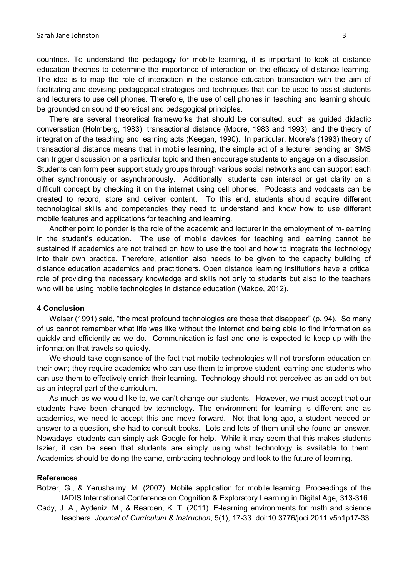countries. To understand the pedagogy for mobile learning, it is important to look at distance education theories to determine the importance of interaction on the efficacy of distance learning. The idea is to map the role of interaction in the distance education transaction with the aim of facilitating and devising pedagogical strategies and techniques that can be used to assist students and lecturers to use cell phones. Therefore, the use of cell phones in teaching and learning should be grounded on sound theoretical and pedagogical principles.

There are several theoretical frameworks that should be consulted, such as guided didactic conversation (Holmberg, 1983), transactional distance (Moore, 1983 and 1993), and the theory of integration of the teaching and learning acts (Keegan, 1990). In particular, Moore's (1993) theory of transactional distance means that in mobile learning, the simple act of a lecturer sending an SMS can trigger discussion on a particular topic and then encourage students to engage on a discussion. Students can form peer support study groups through various social networks and can support each other synchronously or asynchronously. Additionally, students can interact or get clarity on a difficult concept by checking it on the internet using cell phones. Podcasts and vodcasts can be created to record, store and deliver content. To this end, students should acquire different technological skills and competencies they need to understand and know how to use different mobile features and applications for teaching and learning.

Another point to ponder is the role of the academic and lecturer in the employment of m-learning in the student's education. The use of mobile devices for teaching and learning cannot be sustained if academics are not trained on how to use the tool and how to integrate the technology into their own practice. Therefore, attention also needs to be given to the capacity building of distance education academics and practitioners. Open distance learning institutions have a critical role of providing the necessary knowledge and skills not only to students but also to the teachers who will be using mobile technologies in distance education (Makoe, 2012).

#### **4 Conclusion**

Weiser (1991) said, "the most profound technologies are those that disappear" (p. 94). So many of us cannot remember what life was like without the Internet and being able to find information as quickly and efficiently as we do. Communication is fast and one is expected to keep up with the information that travels so quickly.

We should take cognisance of the fact that mobile technologies will not transform education on their own; they require academics who can use them to improve student learning and students who can use them to effectively enrich their learning. Technology should not perceived as an add-on but as an integral part of the curriculum.

As much as we would like to, we can't change our students. However, we must accept that our students have been changed by technology. The environment for learning is different and as academics, we need to accept this and move forward. Not that long ago, a student needed an answer to a question, she had to consult books. Lots and lots of them until she found an answer. Nowadays, students can simply ask Google for help. While it may seem that this makes students lazier, it can be seen that students are simply using what technology is available to them. Academics should be doing the same, embracing technology and look to the future of learning.

#### **References**

Botzer, G., & Yerushalmy, M. (2007). Mobile application for mobile learning. Proceedings of the IADIS International Conference on Cognition & Exploratory Learning in Digital Age, 313-316.

Cady, J. A., Aydeniz, M., & Rearden, K. T. (2011). E-learning environments for math and science teachers. *Journal of Curriculum & Instruction*, 5(1), 17-33. doi:10.3776/joci.2011.v5n1p17-33